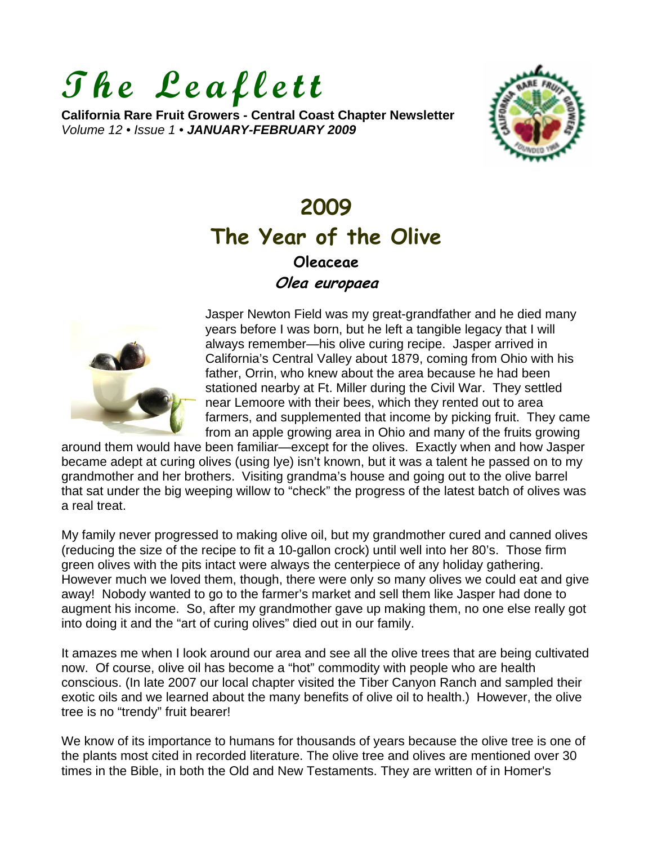# **The Leaflett**

**California Rare Fruit Growers - Central Coast Chapter Newsletter**  *Volume 12 • Issue 1 • JANUARY-FEBRUARY 2009*



# **2009 The Year of the Olive [Oleaceae](http://en.wikipedia.org/wiki/Oleaceae)**

**Olea europaea**



Jasper Newton Field was my great-grandfather and he died many years before I was born, but he left a tangible legacy that I will always remember—his olive curing recipe. Jasper arrived in California's Central Valley about 1879, coming from Ohio with his father, Orrin, who knew about the area because he had been stationed nearby at Ft. Miller during the Civil War. They settled near Lemoore with their bees, which they rented out to area farmers, and supplemented that income by picking fruit. They came from an apple growing area in Ohio and many of the fruits growing

around them would have been familiar—except for the olives. Exactly when and how Jasper became adept at curing olives (using lye) isn't known, but it was a talent he passed on to my grandmother and her brothers. Visiting grandma's house and going out to the olive barrel that sat under the big weeping willow to "check" the progress of the latest batch of olives was a real treat.

My family never progressed to making olive oil, but my grandmother cured and canned olives (reducing the size of the recipe to fit a 10-gallon crock) until well into her 80's. Those firm green olives with the pits intact were always the centerpiece of any holiday gathering. However much we loved them, though, there were only so many olives we could eat and give away! Nobody wanted to go to the farmer's market and sell them like Jasper had done to augment his income. So, after my grandmother gave up making them, no one else really got into doing it and the "art of curing olives" died out in our family.

It amazes me when I look around our area and see all the olive trees that are being cultivated now. Of course, olive oil has become a "hot" commodity with people who are health conscious. (In late 2007 our local chapter visited the Tiber Canyon Ranch and sampled their exotic oils and we learned about the many benefits of olive oil to health.) However, the olive tree is no "trendy" fruit bearer!

We know of its importance to humans for thousands of years because the olive tree is one of the plants most cited in recorded literature. The olive tree and olives are mentioned over 30 times in the Bible, in both the Old and New Testaments. They are written of in Homer's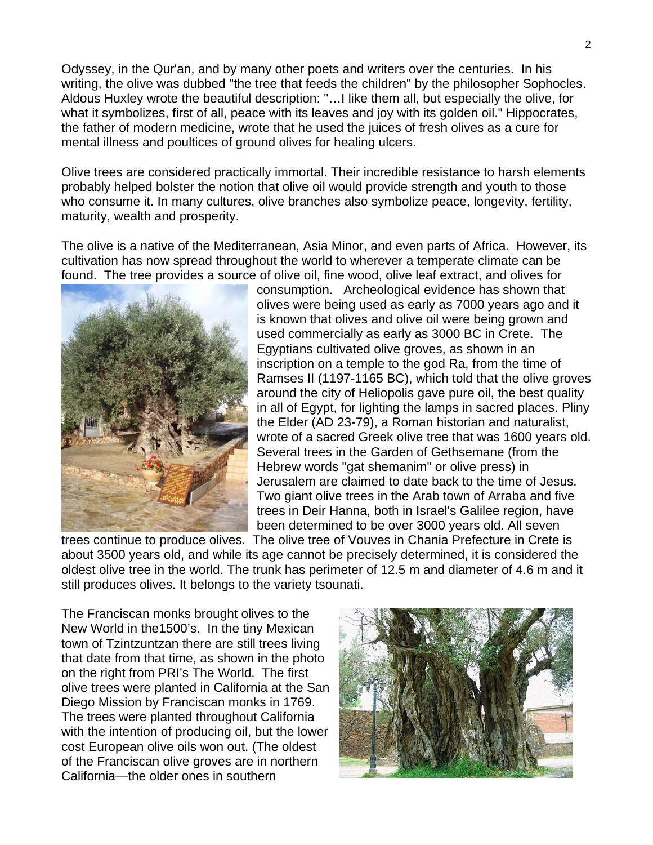Odyssey, in the Qur'an, and by many other poets and writers over the centuries. In his writing, the olive was dubbed "the tree that feeds the children" by the philosopher Sophocles. Aldous Huxley wrote the beautiful description: "…I like them all, but especially the olive, for what it symbolizes, first of all, peace with its leaves and joy with its golden oil." Hippocrates, the father of modern medicine, wrote that he used the juices of fresh olives as a cure for mental illness and poultices of ground olives for healing ulcers.

Olive trees are considered practically immortal. Their incredible resistance to harsh elements probably helped bolster the notion that olive oil would provide strength and youth to those who consume it. In many cultures, olive branches also symbolize peace, longevity, fertility, maturity, wealth and prosperity.

The olive is a native of the Mediterranean, Asia Minor, and even parts of Africa. However, its cultivation has now spread throughout the world to wherever a temperate climate can be found. The tree provides a source of olive oil, fine wood, olive leaf extract, and olives for



consumption. Archeological evidence has shown that olives were being used as early as 7000 years ago and it is known that olives and olive oil were being grown and used commercially as early as 3000 BC in Crete. The Egyptians cultivated olive groves, as shown in an inscription on a temple to the god Ra, from the time of Ramses II (1197-1165 BC), which told that the olive groves around the city of Heliopolis gave pure oil, the best quality in all of Egypt, for lighting the lamps in sacred places. Pliny the Elder (AD 23-79), a Roman historian and naturalist, wrote of a sacred Greek olive tree that was 1600 years old. Several trees in the Garden of Gethsemane (from the Hebrew words "gat shemanim" or olive press) in Jerusalem are claimed to date back to the time of Jesus. Two giant olive trees in the Arab town of Arraba and five trees in Deir Hanna, both in Israel's Galilee region, have been determined to be over 3000 years old. All seven

trees continue to produce olives. The olive tree of Vouves in Chania Prefecture in Crete is about 3500 years old, and while its age cannot be precisely determined, it is considered the oldest olive tree in the world. The trunk has perimeter of 12.5 m and diameter of 4.6 m and it still produces olives. It belongs to the variety tsounati.

The Franciscan monks brought olives to the New World in the1500's. In the tiny Mexican town of Tzintzuntzan there are still trees living that date from that time, as shown in the photo on the right from PRI's The World. The first olive trees were planted in California at the San Diego Mission by Franciscan monks in 1769. The trees were planted throughout California with the intention of producing oil, but the lower cost European olive oils won out. (The oldest of the Franciscan olive groves are in northern California—the older ones in southern

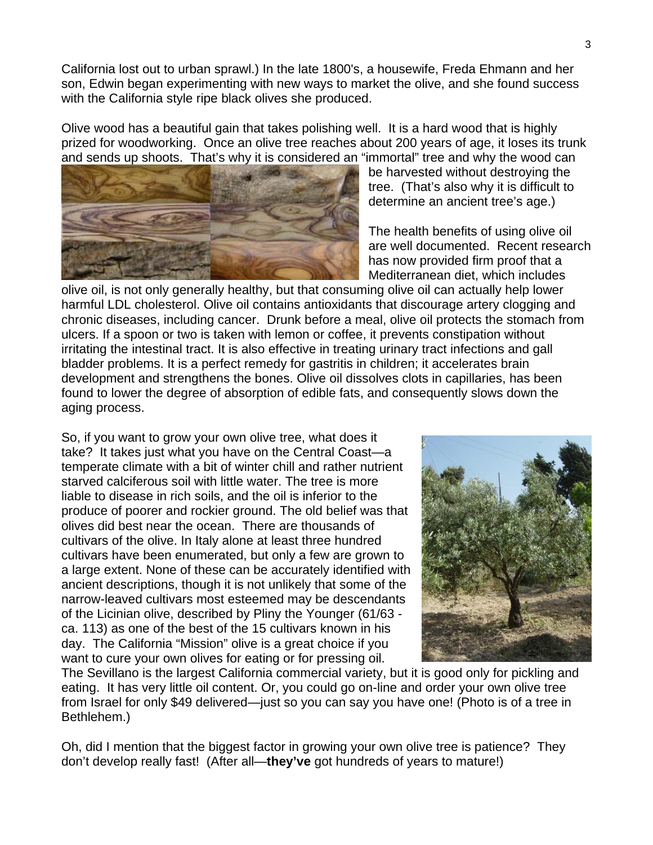California lost out to urban sprawl.) In the late 1800's, a housewife, Freda Ehmann and her son, Edwin began experimenting with new ways to market the olive, and she found success with the California style ripe black olives she produced.

Olive wood has a beautiful gain that takes polishing well. It is a hard wood that is highly prized for woodworking. Once an olive tree reaches about 200 years of age, it loses its trunk and sends up shoots. That's why it is considered an "immortal" tree and why the wood can



be harvested without destroying the tree. (That's also why it is difficult to determine an ancient tree's age.)

The health benefits of using olive oil are well documented. Recent research has now provided firm proof that a Mediterranean diet, which includes

olive oil, is not only generally healthy, but that consuming olive oil can actually help lower harmful LDL cholesterol. Olive oil contains antioxidants that discourage artery clogging and chronic diseases, including cancer. Drunk before a meal, olive oil protects the stomach from ulcers. If a spoon or two is taken with lemon or coffee, it prevents constipation without irritating the intestinal tract. It is also effective in treating urinary tract infections and gall bladder problems. It is a perfect remedy for gastritis in children; it accelerates brain development and strengthens the bones. Olive oil dissolves clots in capillaries, has been found to lower the degree of absorption of edible fats, and consequently slows down the aging process.

So, if you want to grow your own olive tree, what does it take? It takes just what you have on the Central Coast—a temperate climate with a bit of winter chill and rather nutrient starved calciferous soil with little water. The tree is more liable to disease in rich soils, and the oil is inferior to the produce of poorer and rockier ground. The old belief was that olives did best near the ocean. There are thousands of cultivars of the olive. In Italy alone at least three hundred cultivars have been enumerated, but only a few are grown to a large extent. None of these can be accurately identified with ancient descriptions, though it is not unlikely that some of the narrow-leaved cultivars most esteemed may be descendants of the Licinian olive, described by Pliny the Younger (61/63 ca. 113) as one of the best of the 15 cultivars known in his day. The California "Mission" olive is a great choice if you want to cure your own olives for eating or for pressing oil.



The Sevillano is the largest California commercial variety, but it is good only for pickling and eating. It has very little oil content. Or, you could go on-line and order your own olive tree from Israel for only \$49 delivered—just so you can say you have one! (Photo is of a tree in Bethlehem.)

Oh, did I mention that the biggest factor in growing your own olive tree is patience? They don't develop really fast! (After all—**they've** got hundreds of years to mature!)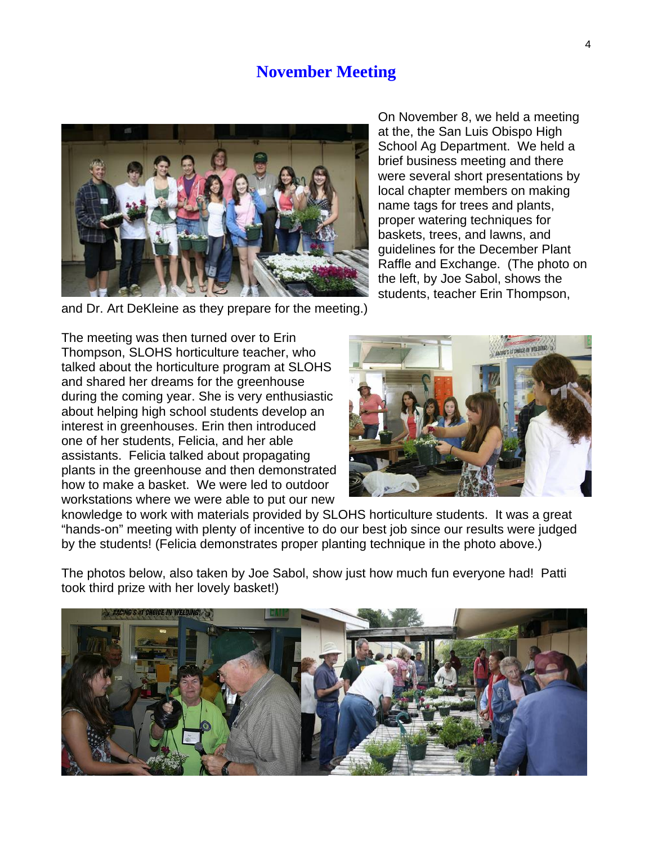#### **November Meeting**



On November 8, we held a meeting at the, the San Luis Obispo High School Ag Department. We held a brief business meeting and there were several short presentations by local chapter members on making name tags for trees and plants, proper watering techniques for baskets, trees, and lawns, and guidelines for the December Plant Raffle and Exchange. (The photo on the left, by Joe Sabol, shows the students, teacher Erin Thompson,

and Dr. Art DeKleine as they prepare for the meeting.)

The meeting was then turned over to Erin Thompson, SLOHS horticulture teacher, who talked about the horticulture program at SLOHS and shared her dreams for the greenhouse during the coming year. She is very enthusiastic about helping high school students develop an interest in greenhouses. Erin then introduced one of her students, Felicia, and her able assistants. Felicia talked about propagating plants in the greenhouse and then demonstrated how to make a basket. We were led to outdoor workstations where we were able to put our new



knowledge to work with materials provided by SLOHS horticulture students. It was a great "hands-on" meeting with plenty of incentive to do our best job since our results were judged by the students! (Felicia demonstrates proper planting technique in the photo above.)

The photos below, also taken by Joe Sabol, show just how much fun everyone had! Patti took third prize with her lovely basket!)

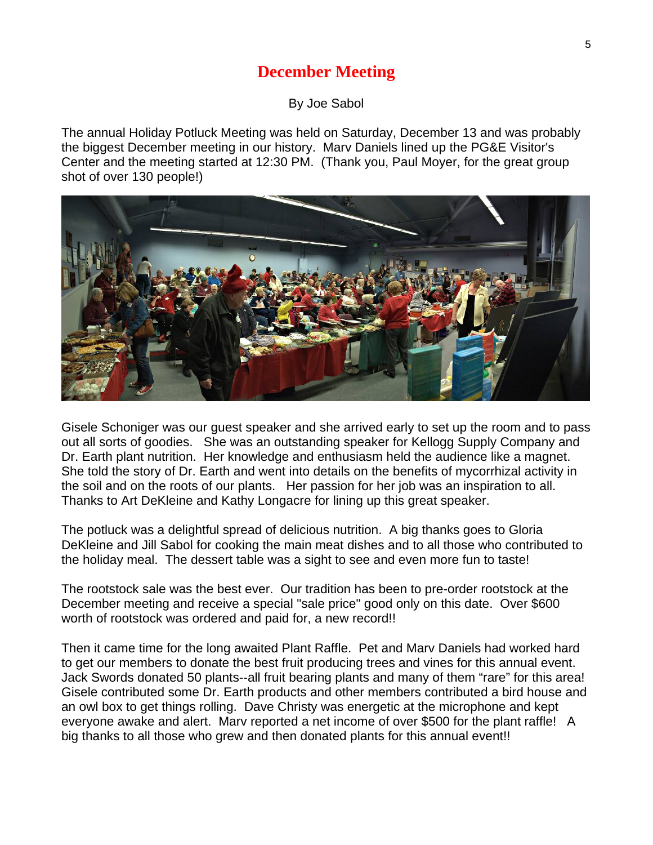## **December Meeting**

By Joe Sabol

The annual Holiday Potluck Meeting was held on Saturday, December 13 and was probably the biggest December meeting in our history. Marv Daniels lined up the PG&E Visitor's Center and the meeting started at 12:30 PM. (Thank you, Paul Moyer, for the great group shot of over 130 people!)



Gisele Schoniger was our guest speaker and she arrived early to set up the room and to pass out all sorts of goodies. She was an outstanding speaker for Kellogg Supply Company and Dr. Earth plant nutrition. Her knowledge and enthusiasm held the audience like a magnet. She told the story of Dr. Earth and went into details on the benefits of mycorrhizal activity in the soil and on the roots of our plants. Her passion for her job was an inspiration to all. Thanks to Art DeKleine and Kathy Longacre for lining up this great speaker.

The potluck was a delightful spread of delicious nutrition. A big thanks goes to Gloria DeKleine and Jill Sabol for cooking the main meat dishes and to all those who contributed to the holiday meal. The dessert table was a sight to see and even more fun to taste!

The rootstock sale was the best ever. Our tradition has been to pre-order rootstock at the December meeting and receive a special "sale price" good only on this date. Over \$600 worth of rootstock was ordered and paid for, a new record!!

Then it came time for the long awaited Plant Raffle. Pet and Marv Daniels had worked hard to get our members to donate the best fruit producing trees and vines for this annual event. Jack Swords donated 50 plants--all fruit bearing plants and many of them "rare" for this area! Gisele contributed some Dr. Earth products and other members contributed a bird house and an owl box to get things rolling. Dave Christy was energetic at the microphone and kept everyone awake and alert. Marv reported a net income of over \$500 for the plant raffle! A big thanks to all those who grew and then donated plants for this annual event!!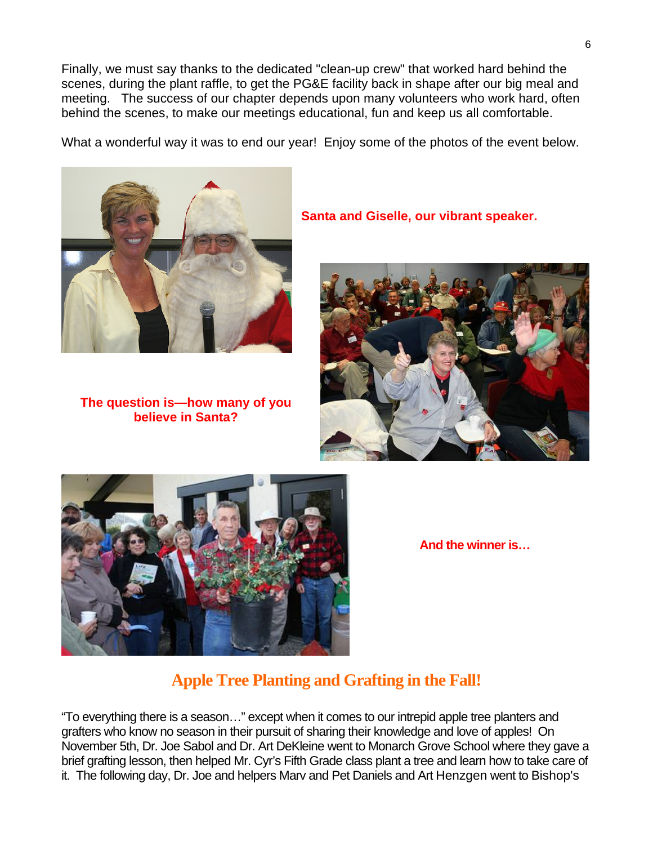Finally, we must say thanks to the dedicated "clean-up crew" that worked hard behind the scenes, during the plant raffle, to get the PG&E facility back in shape after our big meal and meeting. The success of our chapter depends upon many volunteers who work hard, often behind the scenes, to make our meetings educational, fun and keep us all comfortable.

What a wonderful way it was to end our year! Enjoy some of the photos of the event below.



**The question is—how many of you believe in Santa?** 

**Santa and Giselle, our vibrant speaker.** 





**And the winner is…** 

### **Apple Tree Planting and Grafting in the Fall!**

"To everything there is a season…" except when it comes to our intrepid apple tree planters and grafters who know no season in their pursuit of sharing their knowledge and love of apples! On November 5th, Dr. Joe Sabol and Dr. Art DeKleine went to Monarch Grove School where they gave a brief grafting lesson, then helped Mr. Cyr's Fifth Grade class plant a tree and learn how to take care of it. The following day, Dr. Joe and helpers Marv and Pet Daniels and Art Henzgen went to Bishop's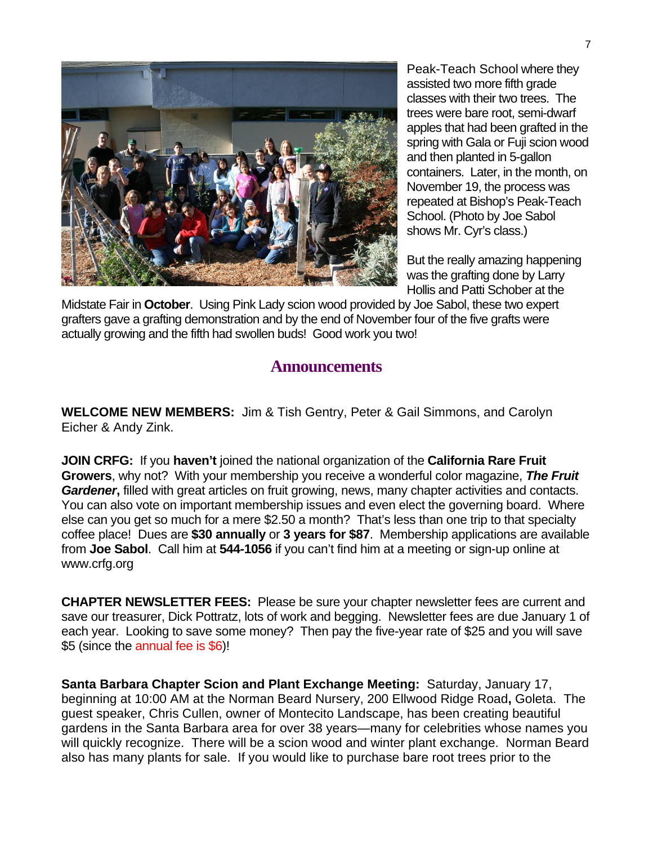

Peak-Teach School where they assisted two more fifth grade classes with their two trees. The trees were bare root, semi-dwarf apples that had been grafted in the spring with Gala or Fuji scion wood and then planted in 5-gallon containers. Later, in the month, on November 19, the process was repeated at Bishop's Peak-Teach School. (Photo by Joe Sabol shows Mr. Cyr's class.)

But the really amazing happening was the grafting done by Larry Hollis and Patti Schober at the

Midstate Fair in **October**. Using Pink Lady scion wood provided by Joe Sabol, these two expert grafters gave a grafting demonstration and by the end of November four of the five grafts were actually growing and the fifth had swollen buds! Good work you two!

#### **Announcements**

**WELCOME NEW MEMBERS:** Jim & Tish Gentry, Peter & Gail Simmons, and Carolyn Eicher & Andy Zink.

**JOIN CRFG:** If you **haven't** joined the national organization of the **California Rare Fruit Growers**, why not? With your membership you receive a wonderful color magazine, *The Fruit Gardener***,** filled with great articles on fruit growing, news, many chapter activities and contacts. You can also vote on important membership issues and even elect the governing board. Where else can you get so much for a mere \$2.50 a month? That's less than one trip to that specialty coffee place! Dues are **\$30 annually** or **3 years for \$87**. Membership applications are available from **Joe Sabol**. Call him at **544-1056** if you can't find him at a meeting or sign-up online at www.crfg.org

**CHAPTER NEWSLETTER FEES:** Please be sure your chapter newsletter fees are current and save our treasurer, Dick Pottratz, lots of work and begging. Newsletter fees are due January 1 of each year. Looking to save some money? Then pay the five-year rate of \$25 and you will save \$5 (since the annual fee is \$6)!

**Santa Barbara Chapter Scion and Plant Exchange Meeting:** Saturday, January 17, beginning at 10:00 AM at the Norman Beard Nursery, 200 Ellwood Ridge Road**,** Goleta.The guest speaker, Chris Cullen, owner of Montecito Landscape, has been creating beautiful gardens in the Santa Barbara area for over 38 years—many for celebrities whose names you will quickly recognize. There will be a scion wood and winter plant exchange. Norman Beard also has many plants for sale. If you would like to purchase bare root trees prior to the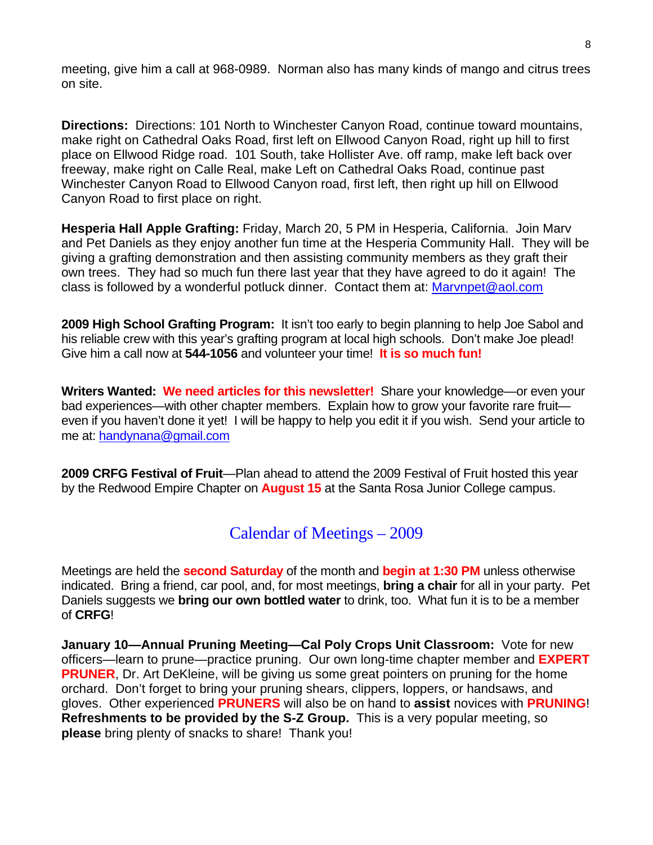meeting, give him a call at 968-0989. Norman also has many kinds of mango and citrus trees on site.

**Directions:** Directions: 101 North to Winchester Canyon Road, continue toward mountains, make right on Cathedral Oaks Road, first left on Ellwood Canyon Road, right up hill to first place on Ellwood Ridge road. 101 South, take Hollister Ave. off ramp, make left back over freeway, make right on Calle Real, make Left on Cathedral Oaks Road, continue past Winchester Canyon Road to Ellwood Canyon road, first left, then right up hill on Ellwood Canyon Road to first place on right.

**Hesperia Hall Apple Grafting:** Friday, March 20, 5 PM in Hesperia, California. Join Marv and Pet Daniels as they enjoy another fun time at the Hesperia Community Hall. They will be giving a grafting demonstration and then assisting community members as they graft their own trees. They had so much fun there last year that they have agreed to do it again! The class is followed by a wonderful potluck dinner. Contact them at: [Marvnpet@aol.com](mailto:Marvnpet@aol.com)

**2009 High School Grafting Program:** It isn't too early to begin planning to help Joe Sabol and his reliable crew with this year's grafting program at local high schools. Don't make Joe plead! Give him a call now at **544-1056** and volunteer your time! **It is so much fun!** 

**Writers Wanted: We need articles for this newsletter!** Share your knowledge—or even your bad experiences—with other chapter members. Explain how to grow your favorite rare fruit even if you haven't done it yet! I will be happy to help you edit it if you wish. Send your article to me at: [handynana@gmail.com](mailto:handynana@gmail.com)

**2009 CRFG Festival of Fruit**—Plan ahead to attend the 2009 Festival of Fruit hosted this year by the Redwood Empire Chapter on **August 15** at the Santa Rosa Junior College campus.

Calendar of Meetings – 2009

Meetings are held the **second Saturday** of the month and **begin at 1:30 PM** unless otherwise indicated. Bring a friend, car pool, and, for most meetings, **bring a chair** for all in your party. Pet Daniels suggests we **bring our own bottled water** to drink, too. What fun it is to be a member of **CRFG**!

**January 10—Annual Pruning Meeting—Cal Poly Crops Unit Classroom:** Vote for new officers—learn to prune—practice pruning. Our own long-time chapter member and **EXPERT PRUNER**, Dr. Art DeKleine, will be giving us some great pointers on pruning for the home orchard. Don't forget to bring your pruning shears, clippers, loppers, or handsaws, and gloves. Other experienced **PRUNERS** will also be on hand to **assist** novices with **PRUNING**! **Refreshments to be provided by the S-Z Group.** This is a very popular meeting, so **please** bring plenty of snacks to share! Thank you!